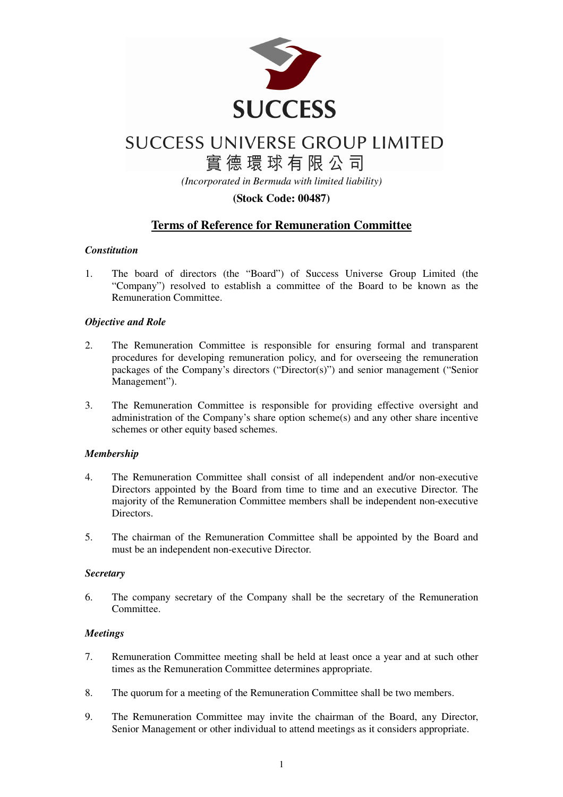

實德環球有限公司

*(Incorporated in Bermuda with limited liability)* 

# **(Stock Code: 00487)**

# **Terms of Reference for Remuneration Committee**

# *Constitution*

1. The board of directors (the "Board") of Success Universe Group Limited (the "Company") resolved to establish a committee of the Board to be known as the Remuneration Committee.

## *Objective and Role*

- 2. The Remuneration Committee is responsible for ensuring formal and transparent procedures for developing remuneration policy, and for overseeing the remuneration packages of the Company's directors ("Director(s)") and senior management ("Senior Management").
- 3. The Remuneration Committee is responsible for providing effective oversight and administration of the Company's share option scheme(s) and any other share incentive schemes or other equity based schemes.

# *Membership*

- 4. The Remuneration Committee shall consist of all independent and/or non-executive Directors appointed by the Board from time to time and an executive Director. The majority of the Remuneration Committee members shall be independent non-executive Directors.
- 5. The chairman of the Remuneration Committee shall be appointed by the Board and must be an independent non-executive Director.

### *Secretary*

6. The company secretary of the Company shall be the secretary of the Remuneration **Committee** 

### *Meetings*

- 7. Remuneration Committee meeting shall be held at least once a year and at such other times as the Remuneration Committee determines appropriate.
- 8. The quorum for a meeting of the Remuneration Committee shall be two members.
- 9. The Remuneration Committee may invite the chairman of the Board, any Director, Senior Management or other individual to attend meetings as it considers appropriate.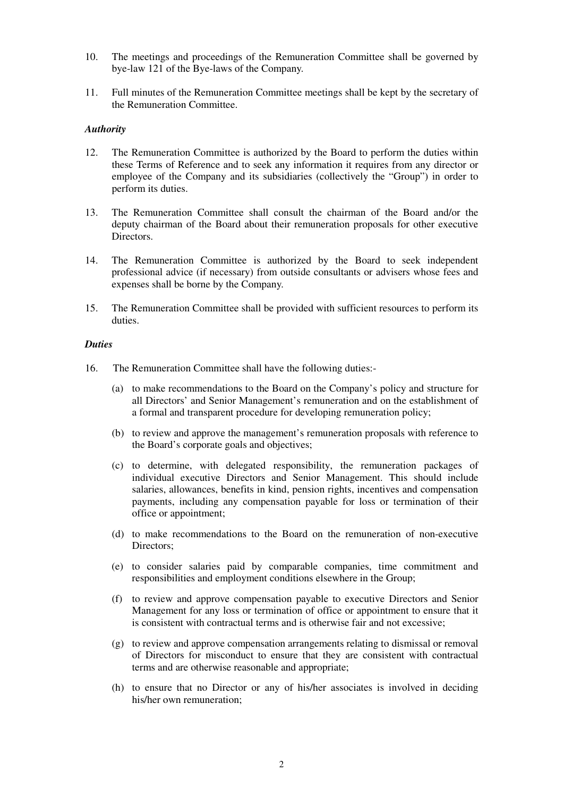- 10. The meetings and proceedings of the Remuneration Committee shall be governed by bye-law 121 of the Bye-laws of the Company.
- 11. Full minutes of the Remuneration Committee meetings shall be kept by the secretary of the Remuneration Committee.

#### *Authority*

- 12. The Remuneration Committee is authorized by the Board to perform the duties within these Terms of Reference and to seek any information it requires from any director or employee of the Company and its subsidiaries (collectively the "Group") in order to perform its duties.
- 13. The Remuneration Committee shall consult the chairman of the Board and/or the deputy chairman of the Board about their remuneration proposals for other executive Directors.
- 14. The Remuneration Committee is authorized by the Board to seek independent professional advice (if necessary) from outside consultants or advisers whose fees and expenses shall be borne by the Company.
- 15. The Remuneration Committee shall be provided with sufficient resources to perform its duties.

#### *Duties*

- 16. The Remuneration Committee shall have the following duties:-
	- (a) to make recommendations to the Board on the Company's policy and structure for all Directors' and Senior Management's remuneration and on the establishment of a formal and transparent procedure for developing remuneration policy;
	- (b) to review and approve the management's remuneration proposals with reference to the Board's corporate goals and objectives;
	- (c) to determine, with delegated responsibility, the remuneration packages of individual executive Directors and Senior Management. This should include salaries, allowances, benefits in kind, pension rights, incentives and compensation payments, including any compensation payable for loss or termination of their office or appointment;
	- (d) to make recommendations to the Board on the remuneration of non-executive Directors;
	- (e) to consider salaries paid by comparable companies, time commitment and responsibilities and employment conditions elsewhere in the Group;
	- (f) to review and approve compensation payable to executive Directors and Senior Management for any loss or termination of office or appointment to ensure that it is consistent with contractual terms and is otherwise fair and not excessive;
	- (g) to review and approve compensation arrangements relating to dismissal or removal of Directors for misconduct to ensure that they are consistent with contractual terms and are otherwise reasonable and appropriate;
	- (h) to ensure that no Director or any of his/her associates is involved in deciding his/her own remuneration;